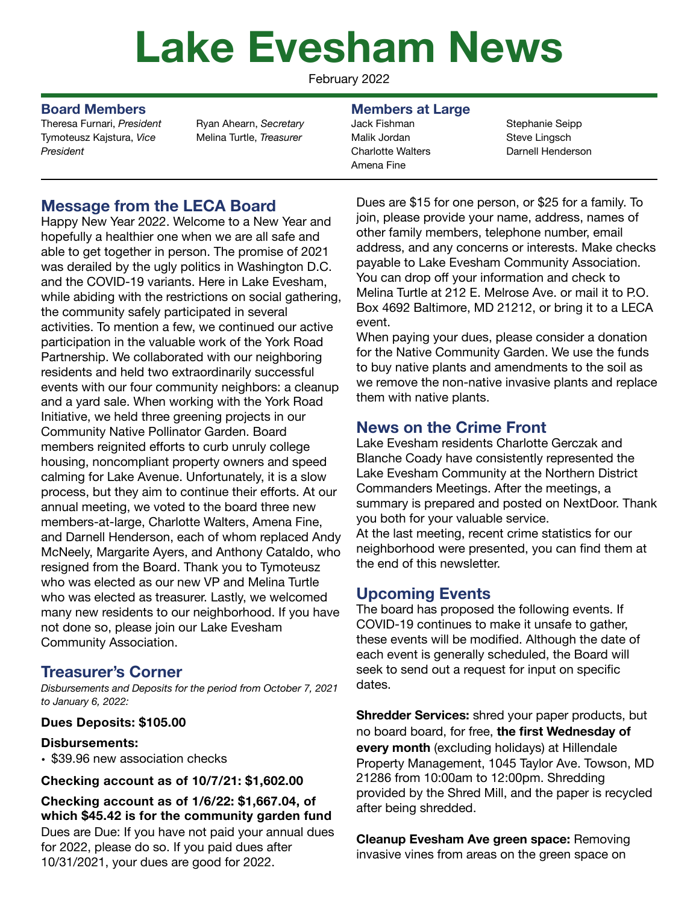# **Lake Evesham News**

February 2022

Theresa Furnari, *President*  Tymoteusz Kajstura, *Vice President* 

Ryan Ahearn, *Secretary*  Melina Turtle, *Treasurer*

# **Message from the LECA Board**

Happy New Year 2022. Welcome to a New Year and hopefully a healthier one when we are all safe and able to get together in person. The promise of 2021 was derailed by the ugly politics in Washington D.C. and the COVID-19 variants. Here in Lake Evesham, while abiding with the restrictions on social gathering, the community safely participated in several activities. To mention a few, we continued our active participation in the valuable work of the York Road Partnership. We collaborated with our neighboring residents and held two extraordinarily successful events with our four community neighbors: a cleanup and a yard sale. When working with the York Road Initiative, we held three greening projects in our Community Native Pollinator Garden. Board members reignited efforts to curb unruly college housing, noncompliant property owners and speed calming for Lake Avenue. Unfortunately, it is a slow process, but they aim to continue their efforts. At our annual meeting, we voted to the board three new members-at-large, Charlotte Walters, Amena Fine, and Darnell Henderson, each of whom replaced Andy McNeely, Margarite Ayers, and Anthony Cataldo, who resigned from the Board. Thank you to Tymoteusz who was elected as our new VP and Melina Turtle who was elected as treasurer. Lastly, we welcomed many new residents to our neighborhood. If you have not done so, please join our Lake Evesham Community Association.

## **Treasurer's Corner**

*Disbursements and Deposits for the period from October 7, 2021 to January 6, 2022:* 

### **Dues Deposits: \$105.00**

#### **Disbursements:**

• \$39.96 new association checks

#### **Checking account as of 10/7/21: \$1,602.00**

**Checking account as of 1/6/22: \$1,667.04, of which \$45.42 is for the community garden fund**  Dues are Due: If you have not paid your annual dues for 2022, please do so. If you paid dues after 10/31/2021, your dues are good for 2022.

#### **Board Members Members at Large**

Jack Fishman Malik Jordan Charlotte Walters Amena Fine

Stephanie Seipp Steve Lingsch Darnell Henderson

Dues are \$15 for one person, or \$25 for a family. To join, please provide your name, address, names of other family members, telephone number, email address, and any concerns or interests. Make checks payable to Lake Evesham Community Association. You can drop off your information and check to Melina Turtle at 212 E. Melrose Ave. or mail it to P.O. Box 4692 Baltimore, MD 21212, or bring it to a LECA event.

When paying your dues, please consider a donation for the Native Community Garden. We use the funds to buy native plants and amendments to the soil as we remove the non-native invasive plants and replace them with native plants.

# **News on the Crime Front**

Lake Evesham residents Charlotte Gerczak and Blanche Coady have consistently represented the Lake Evesham Community at the Northern District Commanders Meetings. After the meetings, a summary is prepared and posted on NextDoor. Thank you both for your valuable service.

At the last meeting, recent crime statistics for our neighborhood were presented, you can find them at the end of this newsletter.

# **Upcoming Events**

The board has proposed the following events. If COVID-19 continues to make it unsafe to gather, these events will be modified. Although the date of each event is generally scheduled, the Board will seek to send out a request for input on specific dates.

**Shredder Services:** shred your paper products, but no board board, for free, **the first Wednesday of every month** (excluding holidays) at Hillendale Property Management, 1045 Taylor Ave. Towson, MD 21286 from 10:00am to 12:00pm. Shredding provided by the Shred Mill, and the paper is recycled after being shredded.

**Cleanup Evesham Ave green space:** Removing invasive vines from areas on the green space on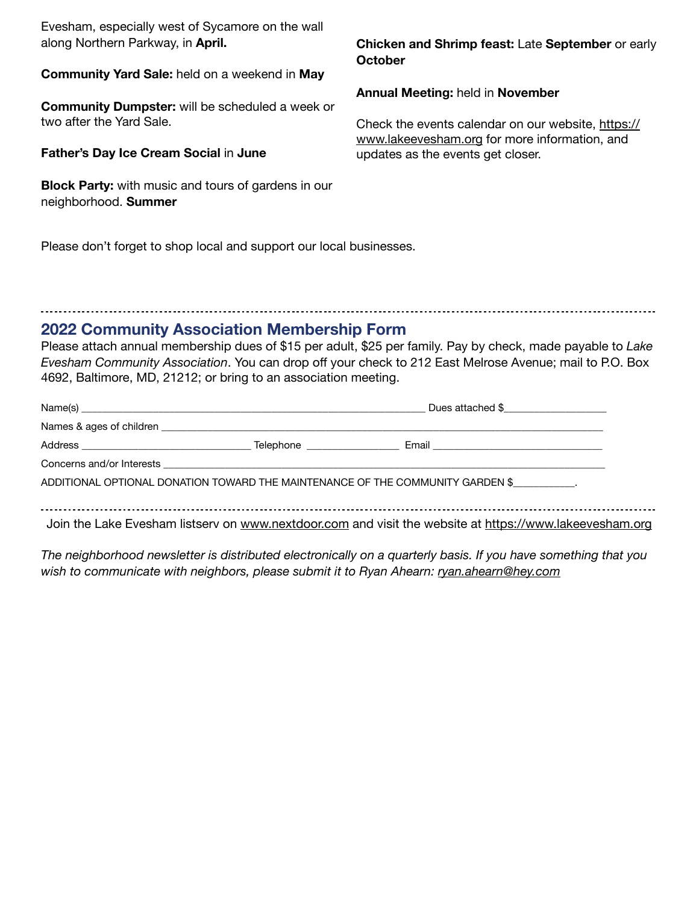Evesham, especially west of Sycamore on the wall along Northern Parkway, in **April.**

**Community Yard Sale:** held on a weekend in **May** 

**Community Dumpster:** will be scheduled a week or two after the Yard Sale.

**Father's Day Ice Cream Social** in **June** 

**Block Party:** with music and tours of gardens in our neighborhood. **Summer** 

**Chicken and Shrimp feast:** Late **September** or early **October** 

**Annual Meeting:** held in **November** 

Check the events calendar on our website, [https://](https://www.lakeevesham.org) [www.lakeevesham.org](https://www.lakeevesham.org) for more information, and updates as the events get closer.

Please don't forget to shop local and support our local businesses.

# **2022 Community Association Membership Form**

Please attach annual membership dues of \$15 per adult, \$25 per family. Pay by check, made payable to *Lake Evesham Community Association*. You can drop off your check to 212 East Melrose Avenue; mail to P.O. Box 4692, Baltimore, MD, 21212; or bring to an association meeting.

| Name(s) <u>example and the second contract of the second contract of the second contract of the second contract of the second contract of the second contract of the second contract of the second contract of the second contra</u> |  | Dues attached \$                                                                                        |  |
|--------------------------------------------------------------------------------------------------------------------------------------------------------------------------------------------------------------------------------------|--|---------------------------------------------------------------------------------------------------------|--|
|                                                                                                                                                                                                                                      |  |                                                                                                         |  |
|                                                                                                                                                                                                                                      |  |                                                                                                         |  |
|                                                                                                                                                                                                                                      |  |                                                                                                         |  |
|                                                                                                                                                                                                                                      |  | ADDITIONAL OPTIONAL DONATION TOWARD THE MAINTENANCE OF THE COMMUNITY GARDEN \$                          |  |
|                                                                                                                                                                                                                                      |  |                                                                                                         |  |
|                                                                                                                                                                                                                                      |  | Join the Lake Evesham listserv on www.nextdoor.com and visit the website at https://www.lakeevesham.org |  |

*The neighborhood newsletter is distributed electronically on a quarterly basis. If you have something that you wish to communicate with neighbors, please submit it to Ryan Ahearn: [ryan.ahearn@hey.com](mailto:ryan.ahearn@hey.com)*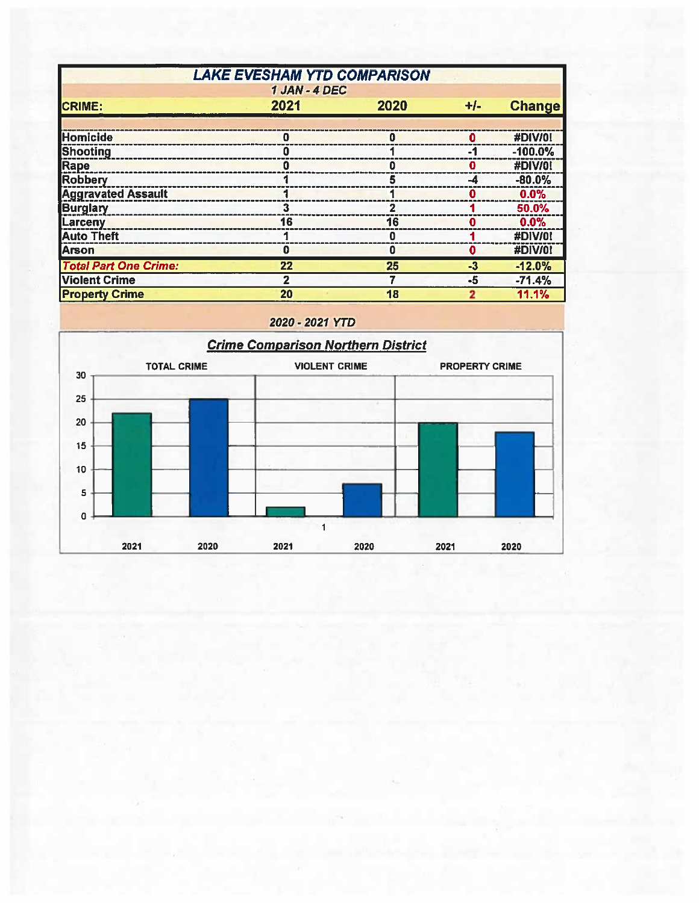| <b>LAKE EVESHAM YTD COMPARISON</b> |      |      |          |               |  |  |  |  |
|------------------------------------|------|------|----------|---------------|--|--|--|--|
| 1 JAN - 4 DEC                      |      |      |          |               |  |  |  |  |
| <b>CRIME:</b>                      | 2021 | 2020 | $+/-$    | <b>Change</b> |  |  |  |  |
|                                    |      |      |          |               |  |  |  |  |
| Homicide                           | o    | o    | 0        | #DIV/0!       |  |  |  |  |
| Shooting                           | n    |      | -1       | $-100.0%$     |  |  |  |  |
| Rape                               |      |      | Ω        | #DIV/0!       |  |  |  |  |
| <b>Robbery</b>                     |      | 5    | -4       | $-80.0%$      |  |  |  |  |
| <b>Aggravated Assault</b>          |      |      | 0        | 0.0%          |  |  |  |  |
| <b>Burglary</b>                    | 3    |      |          | 50.0%         |  |  |  |  |
| Larceny                            | 16   | 16   | 0        | 0.0%          |  |  |  |  |
| <b>Auto Theft</b>                  |      | o    |          | #DIV/0!       |  |  |  |  |
| Arson                              | 0    | 0    | $\bf{0}$ | #DIV/0!       |  |  |  |  |
| <b>Total Part One Crime:</b>       | 22   | 25   | $-3$     | $-12.0%$      |  |  |  |  |
| <b>Violent Crime</b>               | 2    |      | -5       | $-71.4%$      |  |  |  |  |
| <b>Property Crime</b>              | 20   | 18   | 2        | 11.1%         |  |  |  |  |